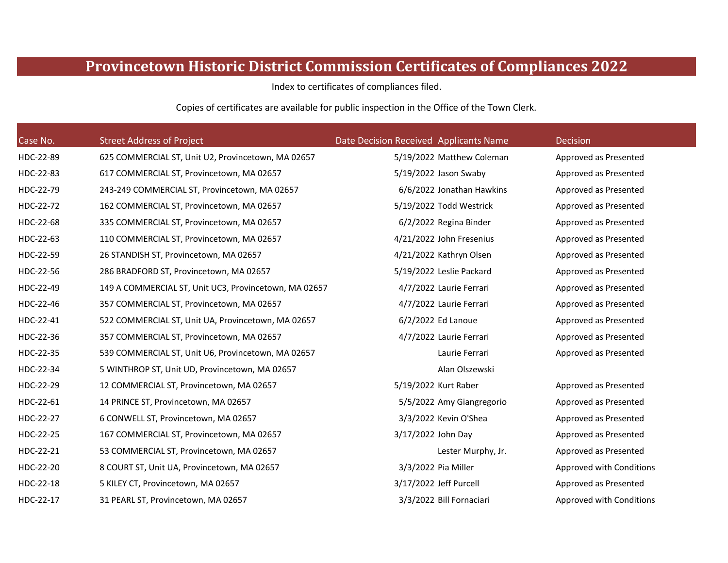## **Provincetown Historic District Commission Certificates of Compliances 2022**

Index to certificates of compliances filed.

Copies of certificates are available for public inspection in the Office of the Town Clerk.

| Case No.  | <b>Street Address of Project</b>                      | Date Decision Received Applicants Name | Decision                 |
|-----------|-------------------------------------------------------|----------------------------------------|--------------------------|
| HDC-22-89 | 625 COMMERCIAL ST, Unit U2, Provincetown, MA 02657    | 5/19/2022 Matthew Coleman              | Approved as Presented    |
| HDC-22-83 | 617 COMMERCIAL ST, Provincetown, MA 02657             | 5/19/2022 Jason Swaby                  | Approved as Presented    |
| HDC-22-79 | 243-249 COMMERCIAL ST, Provincetown, MA 02657         | 6/6/2022 Jonathan Hawkins              | Approved as Presented    |
| HDC-22-72 | 162 COMMERCIAL ST, Provincetown, MA 02657             | 5/19/2022 Todd Westrick                | Approved as Presented    |
| HDC-22-68 | 335 COMMERCIAL ST, Provincetown, MA 02657             | 6/2/2022 Regina Binder                 | Approved as Presented    |
| HDC-22-63 | 110 COMMERCIAL ST, Provincetown, MA 02657             | 4/21/2022 John Fresenius               | Approved as Presented    |
| HDC-22-59 | 26 STANDISH ST, Provincetown, MA 02657                | 4/21/2022 Kathryn Olsen                | Approved as Presented    |
| HDC-22-56 | 286 BRADFORD ST, Provincetown, MA 02657               | 5/19/2022 Leslie Packard               | Approved as Presented    |
| HDC-22-49 | 149 A COMMERCIAL ST, Unit UC3, Provincetown, MA 02657 | 4/7/2022 Laurie Ferrari                | Approved as Presented    |
| HDC-22-46 | 357 COMMERCIAL ST, Provincetown, MA 02657             | 4/7/2022 Laurie Ferrari                | Approved as Presented    |
| HDC-22-41 | 522 COMMERCIAL ST, Unit UA, Provincetown, MA 02657    | 6/2/2022 Ed Lanoue                     | Approved as Presented    |
| HDC-22-36 | 357 COMMERCIAL ST, Provincetown, MA 02657             | 4/7/2022 Laurie Ferrari                | Approved as Presented    |
| HDC-22-35 | 539 COMMERCIAL ST, Unit U6, Provincetown, MA 02657    | Laurie Ferrari                         | Approved as Presented    |
| HDC-22-34 | 5 WINTHROP ST, Unit UD, Provincetown, MA 02657        | Alan Olszewski                         |                          |
| HDC-22-29 | 12 COMMERCIAL ST, Provincetown, MA 02657              | 5/19/2022 Kurt Raber                   | Approved as Presented    |
| HDC-22-61 | 14 PRINCE ST, Provincetown, MA 02657                  | 5/5/2022 Amy Giangregorio              | Approved as Presented    |
| HDC-22-27 | 6 CONWELL ST, Provincetown, MA 02657                  | 3/3/2022 Kevin O'Shea                  | Approved as Presented    |
| HDC-22-25 | 167 COMMERCIAL ST, Provincetown, MA 02657             | 3/17/2022 John Day                     | Approved as Presented    |
| HDC-22-21 | 53 COMMERCIAL ST, Provincetown, MA 02657              | Lester Murphy, Jr.                     | Approved as Presented    |
| HDC-22-20 | 8 COURT ST, Unit UA, Provincetown, MA 02657           | 3/3/2022 Pia Miller                    | Approved with Conditions |
| HDC-22-18 | 5 KILEY CT, Provincetown, MA 02657                    | 3/17/2022 Jeff Purcell                 | Approved as Presented    |
| HDC-22-17 | 31 PEARL ST, Provincetown, MA 02657                   | 3/3/2022 Bill Fornaciari               | Approved with Conditions |